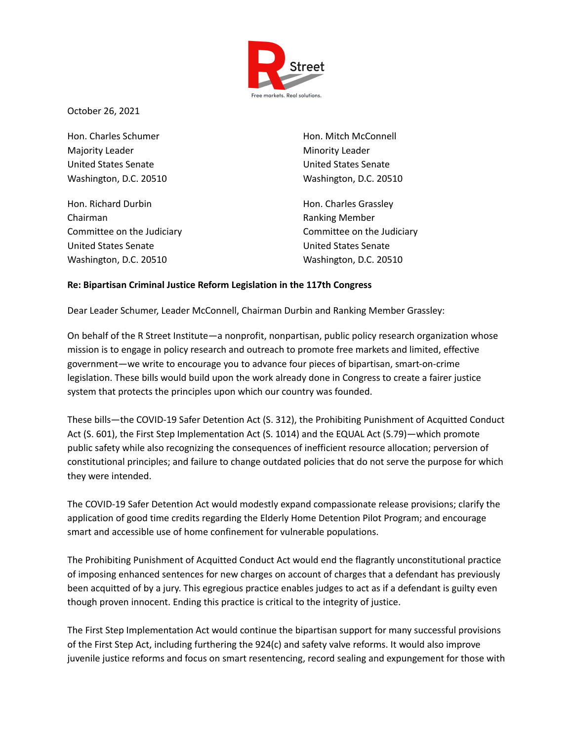

October 26, 2021

Hon. Charles Schumer **Hon. Mitch McConnell** Majority Leader **Minority Leader** Minority Leader United States Senate United States Senate

Hon. Richard Durbin **Hon. Charles Grassley** Chairman **Ranking Member** Ranking Member United States Senate United States Senate Washington, D.C. 20510 Washington, D.C. 20510

Washington, D.C. 20510 Washington, D.C. 20510

Committee on the Judiciary Committee on the Judiciary

## **Re: Bipartisan Criminal Justice Reform Legislation in the 117th Congress**

Dear Leader Schumer, Leader McConnell, Chairman Durbin and Ranking Member Grassley:

On behalf of the R Street Institute—a nonprofit, nonpartisan, public policy research organization whose mission is to engage in policy research and outreach to promote free markets and limited, effective government—we write to encourage you to advance four pieces of bipartisan, smart-on-crime legislation. These bills would build upon the work already done in Congress to create a fairer justice system that protects the principles upon which our country was founded.

These bills—the COVID-19 Safer Detention Act (S. 312), the Prohibiting Punishment of Acquitted Conduct Act (S. 601), the First Step Implementation Act (S. 1014) and the EQUAL Act (S.79)—which promote public safety while also recognizing the consequences of inefficient resource allocation; perversion of constitutional principles; and failure to change outdated policies that do not serve the purpose for which they were intended.

The COVID-19 Safer Detention Act would modestly expand compassionate release provisions; clarify the application of good time credits regarding the Elderly Home Detention Pilot Program; and encourage smart and accessible use of home confinement for vulnerable populations.

The Prohibiting Punishment of Acquitted Conduct Act would end the flagrantly unconstitutional practice of imposing enhanced sentences for new charges on account of charges that a defendant has previously been acquitted of by a jury. This egregious practice enables judges to act as if a defendant is guilty even though proven innocent. Ending this practice is critical to the integrity of justice.

The First Step Implementation Act would continue the bipartisan support for many successful provisions of the First Step Act, including furthering the 924(c) and safety valve reforms. It would also improve juvenile justice reforms and focus on smart resentencing, record sealing and expungement for those with